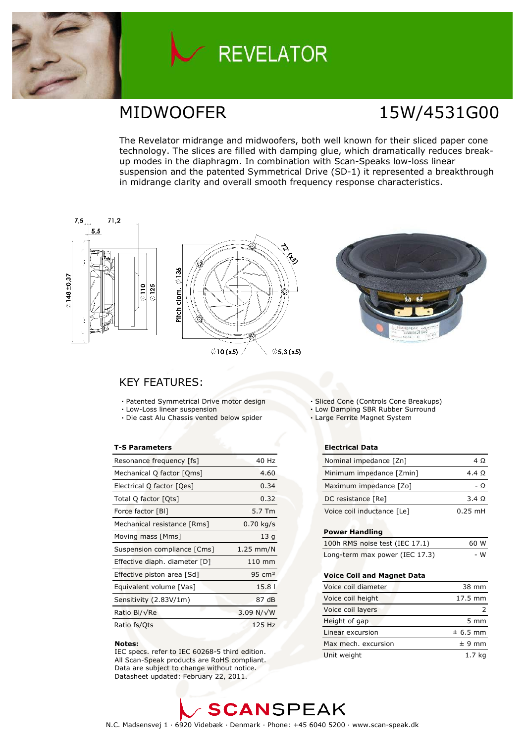

# **REVELATOR**

# MIDWOOFER 15W/4531G00

The Revelator midrange and midwoofers, both well known for their sliced paper cone technology. The slices are filled with damping glue, which dramatically reduces breakup modes in the diaphragm. In combination with Scan-Speaks low-loss linear suspension and the patented Symmetrical Drive (SD-1) it represented a breakthrough in midrange clarity and overall smooth frequency response characteristics.



### **KEY FEATURES:**

- Patented Symmetrical Drive motor design
- · Low-Loss linear suspension
- · Die cast Alu Chassis vented below spider

### **T-S Parameters**

| Resonance frequency [fs]      | 40 Hz               |
|-------------------------------|---------------------|
| Mechanical Q factor [Qms]     | 4.60                |
| Electrical Q factor [Qes]     | 0.34                |
| Total Q factor [Ots]          | 0.32                |
| Force factor [BI]             | 5.7 Tm              |
| Mechanical resistance [Rms]   | $0.70 \text{ kg/s}$ |
| Moving mass [Mms]             | 13q                 |
| Suspension compliance [Cms]   | $1.25$ mm/N         |
| Effective diaph. diameter [D] | $110 \text{ mm}$    |
| Effective piston area [Sd]    | $95 \text{ cm}^2$   |
| Equivalent volume [Vas]       | 15.8                |
| Sensitivity (2.83V/1m)        | 87 dB               |
| Ratio Bl/√Re                  | 3.09 N/ $\sqrt{W}$  |
| Ratio fs/Qts                  | 125 Hz              |

### Notes:

IEC specs. refer to IEC 60268-5 third edition. All Scan-Speak products are RoHS compliant. Data are subject to change without notice. Datasheet updated: February 22, 2011.

- Sliced Cone (Controls Cone Breakups)
- . Low Damping SBR Rubber Surround
- · Large Ferrite Magnet System

### **Electrical Data**

| Nominal impedance [Zn]     | 4 O               |
|----------------------------|-------------------|
| Minimum impedance [Zmin]   | 4.4 Q             |
| Maximum impedance [Zo]     | - 0               |
| DC resistance [Re]         | 3.4 Q             |
| Voice coil inductance [Le] | $0.25 \text{ mH}$ |

### **Power Handling**

| 100h RMS noise test (IEC 17.1) | 60 W |
|--------------------------------|------|
| Long-term max power (IEC 17.3) | - W  |

### Voice Coil and Magnet Data

| Voice coil diameter | 38 mm             |
|---------------------|-------------------|
| Voice coil height   | $17.5 \text{ mm}$ |
| Voice coil layers   |                   |
| Height of gap       | $5 \, \text{mm}$  |
| Linear excursion    | $± 6.5$ mm        |
| Max mech, excursion | $± 9$ mm          |
| Unit weight         | 1.7 ka            |